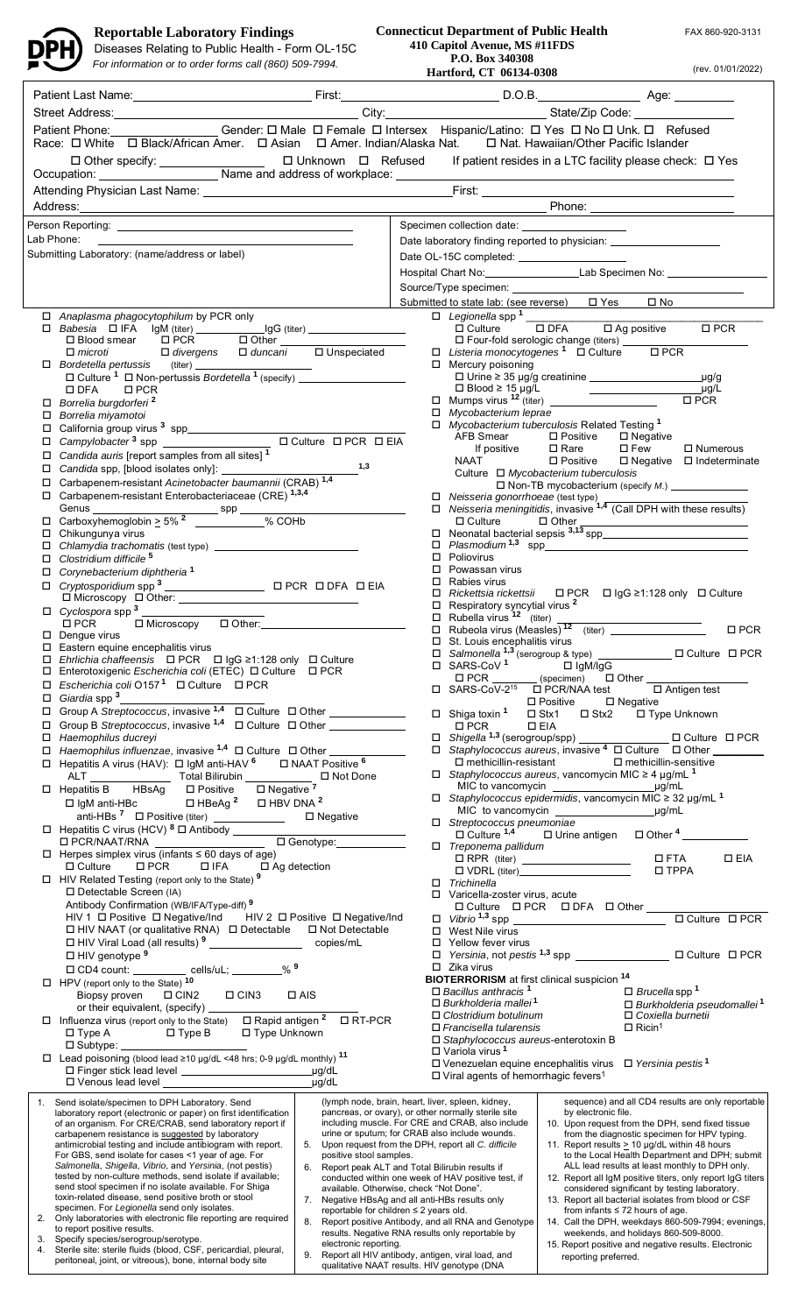

## **Reportable Laboratory Findings**

Diseases Relating to Public Health - Form OL-15C

*For information or to order forms call (860) 509-7994.* **CDU 12022 Hartford, CT 06134-0308** (rev. 01/01/2022)

**Connecticut Department of Public Health 410 Capitol Avenue, MS #11FDS P.O. Box 340308 Hartford, CT 06134-0308** 

FAX 860-920-3131

 $\overline{\phantom{a}}$ 

|                                                                                                                                      | Street Address: <u>City: City: City: State/Zip Code:</u> City: City: State/Zip Code: City: Code: City: Code: City: Code: City: Code: City: Code: City: Code: City: Code: City: Code: City: Code: City: Code: City: Code: City: City                               |                                                                                                     |        |                                                                                                                                   |                                                                                                                                                                                         |                                                                                                                                                                                                                                                                                                                                                        |  |
|--------------------------------------------------------------------------------------------------------------------------------------|-------------------------------------------------------------------------------------------------------------------------------------------------------------------------------------------------------------------------------------------------------------------|-----------------------------------------------------------------------------------------------------|--------|-----------------------------------------------------------------------------------------------------------------------------------|-----------------------------------------------------------------------------------------------------------------------------------------------------------------------------------------|--------------------------------------------------------------------------------------------------------------------------------------------------------------------------------------------------------------------------------------------------------------------------------------------------------------------------------------------------------|--|
| Patient Phone: Center: O Male O Female O Intersex Hispanic/Latino: O Yes O No O Unk. O Refused                                       |                                                                                                                                                                                                                                                                   |                                                                                                     |        |                                                                                                                                   |                                                                                                                                                                                         |                                                                                                                                                                                                                                                                                                                                                        |  |
| Race: $\Box$ White $\Box$ Black/African Amer. $\Box$ Asian $\Box$ Amer. Indian/Alaska Nat.<br>□ Nat. Hawaiian/Other Pacific Islander |                                                                                                                                                                                                                                                                   |                                                                                                     |        |                                                                                                                                   |                                                                                                                                                                                         |                                                                                                                                                                                                                                                                                                                                                        |  |
| If patient resides in a LTC facility please check: $\Box$ Yes                                                                        |                                                                                                                                                                                                                                                                   |                                                                                                     |        |                                                                                                                                   |                                                                                                                                                                                         |                                                                                                                                                                                                                                                                                                                                                        |  |
|                                                                                                                                      |                                                                                                                                                                                                                                                                   |                                                                                                     |        |                                                                                                                                   |                                                                                                                                                                                         |                                                                                                                                                                                                                                                                                                                                                        |  |
|                                                                                                                                      |                                                                                                                                                                                                                                                                   |                                                                                                     |        |                                                                                                                                   |                                                                                                                                                                                         |                                                                                                                                                                                                                                                                                                                                                        |  |
|                                                                                                                                      | Address: Phone: 2008. 2018. 2019. 2019. 2019. 2019. 2019. 2019. 2019. 2019. 2019. 2019. 2019. 2019. 2019. 2019                                                                                                                                                    |                                                                                                     |        |                                                                                                                                   |                                                                                                                                                                                         |                                                                                                                                                                                                                                                                                                                                                        |  |
| Specimen collection date: ____________________                                                                                       |                                                                                                                                                                                                                                                                   |                                                                                                     |        |                                                                                                                                   |                                                                                                                                                                                         |                                                                                                                                                                                                                                                                                                                                                        |  |
| Lab Phone:                                                                                                                           | <u> 1989 - Johann Stoff, Amerikaansk politiker († 1908)</u><br>Submitting Laboratory: (name/address or label)                                                                                                                                                     |                                                                                                     |        | Date laboratory finding reported to physician: _________________________________                                                  |                                                                                                                                                                                         |                                                                                                                                                                                                                                                                                                                                                        |  |
|                                                                                                                                      |                                                                                                                                                                                                                                                                   |                                                                                                     |        | Date OL-15C completed: _____________________<br>Hospital Chart No: Lab Specimen No: Lab Specimen No:                              |                                                                                                                                                                                         |                                                                                                                                                                                                                                                                                                                                                        |  |
|                                                                                                                                      |                                                                                                                                                                                                                                                                   |                                                                                                     |        |                                                                                                                                   |                                                                                                                                                                                         |                                                                                                                                                                                                                                                                                                                                                        |  |
|                                                                                                                                      |                                                                                                                                                                                                                                                                   |                                                                                                     |        |                                                                                                                                   | Submitted to state lab: (see reverse) □ Yes □ No                                                                                                                                        |                                                                                                                                                                                                                                                                                                                                                        |  |
|                                                                                                                                      | □ Anaplasma phagocytophilum by PCR only                                                                                                                                                                                                                           |                                                                                                     |        | $\Box$ Legionella spp <sup>1</sup>                                                                                                |                                                                                                                                                                                         |                                                                                                                                                                                                                                                                                                                                                        |  |
|                                                                                                                                      |                                                                                                                                                                                                                                                                   |                                                                                                     |        |                                                                                                                                   | □ Culture □ DFA □ Ag positive                                                                                                                                                           | $\square$ PCR                                                                                                                                                                                                                                                                                                                                          |  |
|                                                                                                                                      | □ Blood smear □ PCR □ Other<br>$\Box$ microti $\Box$ divergens $\Box$ duncani $\Box$ Unspeciated                                                                                                                                                                  |                                                                                                     |        |                                                                                                                                   | □ Four-fold serologic change (titers)<br>□ Listeria monocytogenes <sup>1</sup> □ Culture □ PCR                                                                                          |                                                                                                                                                                                                                                                                                                                                                        |  |
|                                                                                                                                      | $\begin{array}{ccc}\n\square & \textit{Bordetella pertussis} \\ \square & \textit{Culture }^1 \quad \square \textit{ Non-pertussis Bordetella}^1 \text{ (specify)}\n\end{array}$                                                                                  |                                                                                                     |        | □ Mercury poisoning                                                                                                               |                                                                                                                                                                                         |                                                                                                                                                                                                                                                                                                                                                        |  |
|                                                                                                                                      |                                                                                                                                                                                                                                                                   |                                                                                                     |        |                                                                                                                                   | $\Box$ Urine $\geq$ 35 µg/g creatinine $\_\_\_\_\_\_\_\_\_\_\_\_\_\_\_\_\_\_\_\_\_\_\_\_$                                                                                               | $\mu$ g/g                                                                                                                                                                                                                                                                                                                                              |  |
|                                                                                                                                      | $\square$ DFA<br>$\Box$ PCR<br>$\Box$ Borrelia burgdorferi <sup>2</sup>                                                                                                                                                                                           |                                                                                                     |        |                                                                                                                                   |                                                                                                                                                                                         |                                                                                                                                                                                                                                                                                                                                                        |  |
|                                                                                                                                      | $\Box$ Borrelia miyamotoi                                                                                                                                                                                                                                         |                                                                                                     |        | $\Box$ Mycobacterium leprae                                                                                                       |                                                                                                                                                                                         |                                                                                                                                                                                                                                                                                                                                                        |  |
|                                                                                                                                      |                                                                                                                                                                                                                                                                   |                                                                                                     |        | <b>AFB Smear</b>                                                                                                                  | $\Box$ Mycobacterium tuberculosis Related Testing 1<br>□ Positive □ Negative                                                                                                            |                                                                                                                                                                                                                                                                                                                                                        |  |
|                                                                                                                                      | Candida auris [report samples from all sites] 1                                                                                                                                                                                                                   |                                                                                                     |        | If positive                                                                                                                       | $\square$ Rare<br>$\Box$ Few                                                                                                                                                            | $\Box$ Numerous                                                                                                                                                                                                                                                                                                                                        |  |
|                                                                                                                                      |                                                                                                                                                                                                                                                                   | $-$ 1,3                                                                                             |        | <b>NAAT</b>                                                                                                                       |                                                                                                                                                                                         | □ Positive □ Negative □ Indeterminate                                                                                                                                                                                                                                                                                                                  |  |
|                                                                                                                                      | Carbapenem-resistant Acinetobacter baumannii (CRAB) 1,4                                                                                                                                                                                                           |                                                                                                     |        |                                                                                                                                   | Culture $\Box$ Mycobacterium tuberculosis                                                                                                                                               | □ Non-TB mycobacterium (specify M.) _____________                                                                                                                                                                                                                                                                                                      |  |
|                                                                                                                                      | □ Carbapenem-resistant Enterobacteriaceae (CRE) 1,3,4                                                                                                                                                                                                             |                                                                                                     |        |                                                                                                                                   |                                                                                                                                                                                         | □ Neisseria gonorrhoeae (test type)<br>□ Neisseria meningitidis, invasive $1,4$ (Call DPH with these results)                                                                                                                                                                                                                                          |  |
|                                                                                                                                      |                                                                                                                                                                                                                                                                   |                                                                                                     |        | □ Culture □ Other                                                                                                                 |                                                                                                                                                                                         |                                                                                                                                                                                                                                                                                                                                                        |  |
| 0                                                                                                                                    | Chikungunya virus                                                                                                                                                                                                                                                 |                                                                                                     |        |                                                                                                                                   |                                                                                                                                                                                         | $\square$ Neonatal bacterial sepsis $3,\overline{13}$ spp                                                                                                                                                                                                                                                                                              |  |
|                                                                                                                                      |                                                                                                                                                                                                                                                                   |                                                                                                     | □      |                                                                                                                                   |                                                                                                                                                                                         |                                                                                                                                                                                                                                                                                                                                                        |  |
| □                                                                                                                                    | Clostridium difficile <sup>5</sup>                                                                                                                                                                                                                                |                                                                                                     | 0<br>□ | Poliovirus<br>Powassan virus                                                                                                      |                                                                                                                                                                                         |                                                                                                                                                                                                                                                                                                                                                        |  |
| □                                                                                                                                    | Corynebacterium diphtheria <sup>1</sup>                                                                                                                                                                                                                           |                                                                                                     | 0      | Rabies virus                                                                                                                      |                                                                                                                                                                                         |                                                                                                                                                                                                                                                                                                                                                        |  |
|                                                                                                                                      |                                                                                                                                                                                                                                                                   |                                                                                                     | $\Box$ |                                                                                                                                   |                                                                                                                                                                                         | Rickettsia rickettsii □ PCR □ lgG ≥1:128 only □ Culture                                                                                                                                                                                                                                                                                                |  |
|                                                                                                                                      |                                                                                                                                                                                                                                                                   |                                                                                                     |        | $\Box$ Respiratory syncytial virus $^2$                                                                                           |                                                                                                                                                                                         |                                                                                                                                                                                                                                                                                                                                                        |  |
|                                                                                                                                      | □ Microscopy □ Other: <u>___________________________</u><br>$\square$ PCR<br>$\square$ Dengue virus                                                                                                                                                               |                                                                                                     |        |                                                                                                                                   | $\begin{array}{ll}\n\square & \text{Rubella virus }^{12} \quad \text{(titer)} \\ \square & \text{Rubeola virus (Measles)}^{12} \quad \text{(titer)} \quad \text{________}\n\end{array}$ | $\square$ PCR                                                                                                                                                                                                                                                                                                                                          |  |
|                                                                                                                                      | $\square$ Eastern equine encephalitis virus                                                                                                                                                                                                                       |                                                                                                     |        | □ St. Louis encephalitis virus                                                                                                    |                                                                                                                                                                                         | □ Salmonella <sup>1,3</sup> (serogroup & type) _______________ □ Culture □ PCR                                                                                                                                                                                                                                                                         |  |
|                                                                                                                                      | □ Ehrlichia chaffeensis □ PCR □ lgG ≥1:128 only □ Culture                                                                                                                                                                                                         |                                                                                                     |        | $\Box$ SARS-CoV <sup>1</sup> $\Box$ IgM/IgG                                                                                       |                                                                                                                                                                                         |                                                                                                                                                                                                                                                                                                                                                        |  |
|                                                                                                                                      | □ Enterotoxigenic Escherichia coli (ETEC) □ Culture □ PCR<br>Escherichia coli 0157 <sup>1</sup> $\Box$ Culture $\Box$ PCR                                                                                                                                         |                                                                                                     |        | □ PCR ________(specimen)                                                                                                          |                                                                                                                                                                                         | $\Box$ Other                                                                                                                                                                                                                                                                                                                                           |  |
| □                                                                                                                                    | Giardia spp <sup>3</sup>                                                                                                                                                                                                                                          |                                                                                                     |        | $\Box$ SARS-CoV-2 <sup>15</sup> $\Box$ PCR/NAA test                                                                               | $\square$ Negative<br>□ Positive                                                                                                                                                        | $\Box$ Antigen test                                                                                                                                                                                                                                                                                                                                    |  |
| $\Box$                                                                                                                               |                                                                                                                                                                                                                                                                   |                                                                                                     |        | □ Shiga toxin 1                                                                                                                   | □ Stx1 □ Stx2 □ Type Unknown                                                                                                                                                            |                                                                                                                                                                                                                                                                                                                                                        |  |
|                                                                                                                                      | □ Group B Streptococcus, invasive <sup>1,4</sup> □ Culture □ Other _____________                                                                                                                                                                                  |                                                                                                     |        | $\square$ PCR                                                                                                                     | $\square$ EIA                                                                                                                                                                           |                                                                                                                                                                                                                                                                                                                                                        |  |
|                                                                                                                                      | $\Box$ Haemophilus ducreyi                                                                                                                                                                                                                                        |                                                                                                     |        |                                                                                                                                   |                                                                                                                                                                                         | $\begin{array}{ll}\n\square & \textit{Single} \text{Ia} \text{ }^{1,3}\text{ (serogroup/spp)} \xrightarrow{\qquad \qquad } \square \text{ Culture} & \square \text{ PCR} \\ \square & \textit{Staphylococcus aureus}, \text{ invasive }^{4} \text{ } \square \text{ Culture} & \square \text{ Other } \underline{\qquad \qquad } \square\n\end{array}$ |  |
|                                                                                                                                      | □ Hepatitis A virus (HAV): □ IgM anti-HAV <sup>6</sup> □ NAAT Positive <sup>6</sup>                                                                                                                                                                               |                                                                                                     |        |                                                                                                                                   | $\square$ methicillin-resistant $\square$ methicillin-sensitive                                                                                                                         |                                                                                                                                                                                                                                                                                                                                                        |  |
|                                                                                                                                      |                                                                                                                                                                                                                                                                   |                                                                                                     |        |                                                                                                                                   | $\Box$ Staphylococcus aureus, vancomycin MIC $\geq$ 4 µg/mL <sup>1</sup>                                                                                                                |                                                                                                                                                                                                                                                                                                                                                        |  |
|                                                                                                                                      | □ Hepatitis B HBsAg □ Positive □ Negative 7<br>$\Box$ IgM anti-HBc $\Box$ HBeAg <sup>2</sup> $\Box$ HBV DNA <sup>2</sup>                                                                                                                                          |                                                                                                     |        |                                                                                                                                   | MIC to vancomycin $\frac{1}{\Box}$ pg/mL<br>$\Box$ Staphylococcus epidermidis, vancomycin MIC ≥ 32 µg/mL <sup>1</sup>                                                                   |                                                                                                                                                                                                                                                                                                                                                        |  |
|                                                                                                                                      | anti-HBs <sup>7</sup> □ Positive (titer) ______________  □ Negative                                                                                                                                                                                               |                                                                                                     |        |                                                                                                                                   |                                                                                                                                                                                         |                                                                                                                                                                                                                                                                                                                                                        |  |
|                                                                                                                                      | □ Hepatitis C virus (HCV) <sup>8</sup> □ Antibody <u>Department of the C virus (HCV) <sup>8</sup> □ Antibody Department of the C Genotype:</u>                                                                                                                    |                                                                                                     |        | □ Streptococcus pneumoniae                                                                                                        |                                                                                                                                                                                         |                                                                                                                                                                                                                                                                                                                                                        |  |
|                                                                                                                                      |                                                                                                                                                                                                                                                                   |                                                                                                     |        | □ Treponema pallidum                                                                                                              |                                                                                                                                                                                         |                                                                                                                                                                                                                                                                                                                                                        |  |
|                                                                                                                                      | $\Box$ Herpes simplex virus (infants $\leq 60$ days of age)<br>□ IFA □ Ag detection<br>□ Culture □ PCR                                                                                                                                                            |                                                                                                     |        |                                                                                                                                   |                                                                                                                                                                                         | $\square$ FTA<br>$\square$ EIA<br>$\square$ TPPA                                                                                                                                                                                                                                                                                                       |  |
|                                                                                                                                      | $\Box$ HIV Related Testing (report only to the State) $9$                                                                                                                                                                                                         |                                                                                                     |        | $\Box$ Trichinella                                                                                                                |                                                                                                                                                                                         |                                                                                                                                                                                                                                                                                                                                                        |  |
|                                                                                                                                      | □ Detectable Screen (IA)                                                                                                                                                                                                                                          |                                                                                                     |        | □ Varicella-zoster virus, acute                                                                                                   |                                                                                                                                                                                         |                                                                                                                                                                                                                                                                                                                                                        |  |
|                                                                                                                                      | Antibody Confirmation (WB/IFA/Type-diff) 9<br>HIV 1 □ Positive □ Negative/Ind HIV 2 □ Positive □ Negative/Ind                                                                                                                                                     |                                                                                                     |        |                                                                                                                                   |                                                                                                                                                                                         | D Culture D PCR DDFA D Other <u>D Culture D PCR</u><br>D Vibrio <sup>1,3</sup> spp <u>D Culture D PCR</u>                                                                                                                                                                                                                                              |  |
|                                                                                                                                      | □ HIV NAAT (or qualitative RNA) □ Detectable □ Not Detectable                                                                                                                                                                                                     |                                                                                                     |        | $\Box$ West Nile virus                                                                                                            |                                                                                                                                                                                         |                                                                                                                                                                                                                                                                                                                                                        |  |
|                                                                                                                                      | □ HIV Viral Load (all results) <sup>9</sup> ___________________________ copies/mL                                                                                                                                                                                 |                                                                                                     |        | $\Box$ Yellow fever virus                                                                                                         |                                                                                                                                                                                         |                                                                                                                                                                                                                                                                                                                                                        |  |
|                                                                                                                                      | $\Box$ HIV genotype $9$<br>□ CD4 count: _________ cells/uL; _______% 9                                                                                                                                                                                            |                                                                                                     |        | $\Box$ Zika virus                                                                                                                 |                                                                                                                                                                                         | □ Yersinia, not pestis <sup>1,3</sup> spp _______________________ □ Culture □ PCR                                                                                                                                                                                                                                                                      |  |
|                                                                                                                                      | $\Box$ HPV (report only to the State) $10$                                                                                                                                                                                                                        |                                                                                                     |        |                                                                                                                                   | <b>BIOTERRORISM</b> at first clinical suspicion <sup>14</sup>                                                                                                                           |                                                                                                                                                                                                                                                                                                                                                        |  |
|                                                                                                                                      | Biopsy proven □ CIN2 □ CIN3                                                                                                                                                                                                                                       | $\square$ AIS                                                                                       |        | <b>SIOTERRORISM</b> at this change of $\Box$<br>$\Box$ Bacillus anthracis <sup>1</sup><br>$\Box$ Burkholderia mallei <sup>1</sup> |                                                                                                                                                                                         | $\Box$ Brucella spp $^1$                                                                                                                                                                                                                                                                                                                               |  |
|                                                                                                                                      | or their equivalent, (specify) _________                                                                                                                                                                                                                          |                                                                                                     |        |                                                                                                                                   |                                                                                                                                                                                         | □ Burkholderia pseudomallei <sup>1</sup><br>□ Coxiella burnetii                                                                                                                                                                                                                                                                                        |  |
|                                                                                                                                      | $\Box$ Influenza virus (report only to the State) $\Box$ Rapid antigen $^2$ $\Box$ RT-PCR<br>□ Type A □ Type B □ Type Unknown                                                                                                                                     |                                                                                                     |        | $\Box$ Francisella tularensis                                                                                                     |                                                                                                                                                                                         | $\Box$ Ricin <sup>1</sup>                                                                                                                                                                                                                                                                                                                              |  |
|                                                                                                                                      |                                                                                                                                                                                                                                                                   |                                                                                                     |        | $\Box$ Staphylococcus aureus-enterotoxin B<br>□ Variola virus <sup>1</sup>                                                        |                                                                                                                                                                                         |                                                                                                                                                                                                                                                                                                                                                        |  |
|                                                                                                                                      | □ Lead poisoning (blood lead ≥10 µg/dL <48 hrs; 0-9 µg/dL monthly) <sup>11</sup>                                                                                                                                                                                  |                                                                                                     |        |                                                                                                                                   | □ Venezuelan equine encephalitis virus □ Yersinia pestis <sup>1</sup>                                                                                                                   |                                                                                                                                                                                                                                                                                                                                                        |  |
| $\Box$ Viral agents of hemorrhagic fevers <sup>1</sup>                                                                               |                                                                                                                                                                                                                                                                   |                                                                                                     |        |                                                                                                                                   |                                                                                                                                                                                         |                                                                                                                                                                                                                                                                                                                                                        |  |
| (lymph node, brain, heart, liver, spleen, kidney,<br>sequence) and all CD4 results are only reportable                               |                                                                                                                                                                                                                                                                   |                                                                                                     |        |                                                                                                                                   |                                                                                                                                                                                         |                                                                                                                                                                                                                                                                                                                                                        |  |
|                                                                                                                                      | 1. Send isolate/specimen to DPH Laboratory. Send<br>laboratory report (electronic or paper) on first identification                                                                                                                                               |                                                                                                     |        | pancreas, or ovary), or other normally sterile site                                                                               | by electronic file.                                                                                                                                                                     |                                                                                                                                                                                                                                                                                                                                                        |  |
|                                                                                                                                      | including muscle. For CRE and CRAB, also include<br>of an organism. For CRE/CRAB, send laboratory report if<br>10. Upon request from the DPH, send fixed tissue<br>urine or sputum; for CRAB also include wounds.<br>from the diagnostic specimen for HPV typing. |                                                                                                     |        |                                                                                                                                   |                                                                                                                                                                                         |                                                                                                                                                                                                                                                                                                                                                        |  |
|                                                                                                                                      | carbapenem resistance is suggested by laboratory<br>antimicrobial testing and include antibiogram with report.<br>5. Upon request from the DPH, report all C. difficile<br>11. Report results > 10 µg/dL within 48 hours                                          |                                                                                                     |        |                                                                                                                                   |                                                                                                                                                                                         |                                                                                                                                                                                                                                                                                                                                                        |  |
|                                                                                                                                      | For GBS, send isolate for cases <1 year of age. For<br>Salmonella, Shigella, Vibrio, and Yersinia, (not pestis)                                                                                                                                                   | positive stool samples.<br>6. Report peak ALT and Total Bilirubin results if                        |        |                                                                                                                                   |                                                                                                                                                                                         | to the Local Health Department and DPH; submit<br>ALL lead results at least monthly to DPH only.                                                                                                                                                                                                                                                       |  |
|                                                                                                                                      | tested by non-culture methods, send isolate if available;                                                                                                                                                                                                         |                                                                                                     |        | conducted within one week of HAV positive test, if                                                                                |                                                                                                                                                                                         | 12. Report all IgM positive titers, only report IgG titers                                                                                                                                                                                                                                                                                             |  |
|                                                                                                                                      | send stool specimen if no isolate available. For Shiga<br>toxin-related disease, send positive broth or stool                                                                                                                                                     | available. Otherwise, check "Not Done".<br>7. Negative HBsAg and all anti-HBs results only          |        |                                                                                                                                   |                                                                                                                                                                                         | considered significant by testing laboratory.<br>13. Report all bacterial isolates from blood or CSF                                                                                                                                                                                                                                                   |  |
| 2.                                                                                                                                   | specimen. For Legionella send only isolates.<br>Only laboratories with electronic file reporting are required                                                                                                                                                     | reportable for children $\leq 2$ years old.                                                         |        |                                                                                                                                   | from infants $\leq 72$ hours of age.                                                                                                                                                    |                                                                                                                                                                                                                                                                                                                                                        |  |
|                                                                                                                                      | to report positive results.                                                                                                                                                                                                                                       | results. Negative RNA results only reportable by                                                    |        | 8. Report positive Antibody, and all RNA and Genotype                                                                             |                                                                                                                                                                                         | 14. Call the DPH, weekdays 860-509-7994; evenings,<br>weekends, and holidays 860-509-8000.                                                                                                                                                                                                                                                             |  |
|                                                                                                                                      | 3. Specify species/serogroup/serotype.<br>4. Sterile site: sterile fluids (blood, CSF, pericardial, pleural,                                                                                                                                                      | electronic reporting.                                                                               |        |                                                                                                                                   |                                                                                                                                                                                         | 15. Report positive and negative results. Electronic                                                                                                                                                                                                                                                                                                   |  |
|                                                                                                                                      | peritoneal, joint, or vitreous), bone, internal body site                                                                                                                                                                                                         | 9. Report all HIV antibody, antigen, viral load, and<br>qualitative NAAT results. HIV genotype (DNA |        |                                                                                                                                   |                                                                                                                                                                                         | reporting preferred.                                                                                                                                                                                                                                                                                                                                   |  |